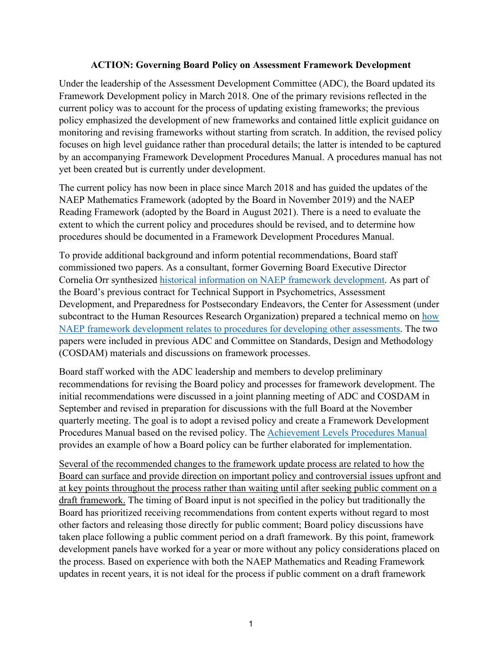# **ACTION: Governing Board Policy on Assessment Framework Development**

Under the leadership of the Assessment Development Committee (ADC), the Board updated its Framework Development policy in March 2018. One of the primary revisions reflected in the current policy was to account for the process of updating existing frameworks; the previous policy emphasized the development of new frameworks and contained little explicit guidance on monitoring and revising frameworks without starting from scratch. In addition, the revised policy focuses on high level guidance rather than procedural details; the latter is intended to be captured by an accompanying Framework Development Procedures Manual. A procedures manual has not yet been created but is currently under development.

The current policy has now been in place since March 2018 and has guided the updates of the NAEP Mathematics Framework (adopted by the Board in November 2019) and the NAEP Reading Framework (adopted by the Board in August 2021). There is a need to evaluate the extent to which the current policy and procedures should be revised, and to determine how procedures should be documented in a Framework Development Procedures Manual.

To provide additional background and inform potential recommendations, Board staff commissioned two papers. As a consultant, former Governing Board Executive Director Cornelia Orr synthesized [historical information on NAEP framework development.](https://www.nagb.gov/content/dam/nagb/en/documents/publications/frameworks/History-of-NAEP-Frameworks-Report-Final.pdf) As part of the Board's previous contract for Technical Support in Psychometrics, Assessment Development, and Preparedness for Postsecondary Endeavors, the Center for Assessment (under subcontract to the Human Resources Research Organization) prepared a technical memo on how [NAEP framework development relates to procedures for developing other assessments.](https://www.nagb.gov/content/dam/nagb/en/documents/publications/frameworks/technology/Framework-Processes-Technical-Memo-Final.pdf) The two papers were included in previous ADC and Committee on Standards, Design and Methodology (COSDAM) materials and discussions on framework processes.

Board staff worked with the ADC leadership and members to develop preliminary recommendations for revising the Board policy and processes for framework development. The initial recommendations were discussed in a joint planning meeting of ADC and COSDAM in September and revised in preparation for discussions with the full Board at the November quarterly meeting. The goal is to adopt a revised policy and create a Framework Development Procedures Manual based on the revised policy. The [Achievement Levels Procedures Manual](https://www.nagb.gov/content/dam/nagb/en/documents/naep/Achievement-Levels-Procedures-Manual.pdf) provides an example of how a Board policy can be further elaborated for implementation.

Several of the recommended changes to the framework update process are related to how the Board can surface and provide direction on important policy and controversial issues upfront and at key points throughout the process rather than waiting until after seeking public comment on a draft framework. The timing of Board input is not specified in the policy but traditionally the Board has prioritized receiving recommendations from content experts without regard to most other factors and releasing those directly for public comment; Board policy discussions have taken place following a public comment period on a draft framework. By this point, framework development panels have worked for a year or more without any policy considerations placed on the process. Based on experience with both the NAEP Mathematics and Reading Framework updates in recent years, it is not ideal for the process if public comment on a draft framework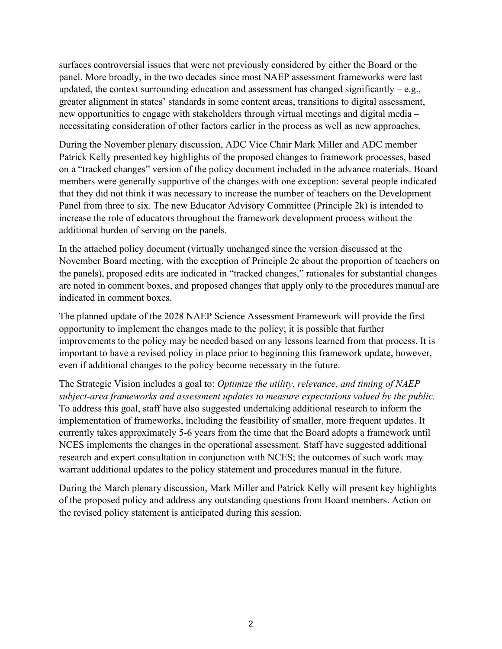surfaces controversial issues that were not previously considered by either the Board or the panel. More broadly, in the two decades since most NAEP assessment frameworks were last updated, the context surrounding education and assessment has changed significantly – e.g., greater alignment in states' standards in some content areas, transitions to digital assessment, new opportunities to engage with stakeholders through virtual meetings and digital media – necessitating consideration of other factors earlier in the process as well as new approaches.

During the November plenary discussion, ADC Vice Chair Mark Miller and ADC member Patrick Kelly presented key highlights of the proposed changes to framework processes, based on a "tracked changes" version of the policy document included in the advance materials. Board members were generally supportive of the changes with one exception: several people indicated that they did not think it was necessary to increase the number of teachers on the Development Panel from three to six. The new Educator Advisory Committee (Principle 2k) is intended to increase the role of educators throughout the framework development process without the additional burden of serving on the panels.

In the attached policy document (virtually unchanged since the version discussed at the November Board meeting, with the exception of Principle 2c about the proportion of teachers on the panels), proposed edits are indicated in "tracked changes," rationales for substantial changes are noted in comment boxes, and proposed changes that apply only to the procedures manual are indicated in comment boxes.

The planned update of the 2028 NAEP Science Assessment Framework will provide the first opportunity to implement the changes made to the policy; it is possible that further improvements to the policy may be needed based on any lessons learned from that process. It is important to have a revised policy in place prior to beginning this framework update, however, even if additional changes to the policy become necessary in the future.

The Strategic Vision includes a goal to: *Optimize the utility, relevance, and timing of NAEP subject-area frameworks and assessment updates to measure expectations valued by the public.* To address this goal, staff have also suggested undertaking additional research to inform the implementation of frameworks, including the feasibility of smaller, more frequent updates. It currently takes approximately 5-6 years from the time that the Board adopts a framework until NCES implements the changes in the operational assessment. Staff have suggested additional research and expert consultation in conjunction with NCES; the outcomes of such work may warrant additional updates to the policy statement and procedures manual in the future.

During the March plenary discussion, Mark Miller and Patrick Kelly will present key highlights of the proposed policy and address any outstanding questions from Board members. Action on the revised policy statement is anticipated during this session.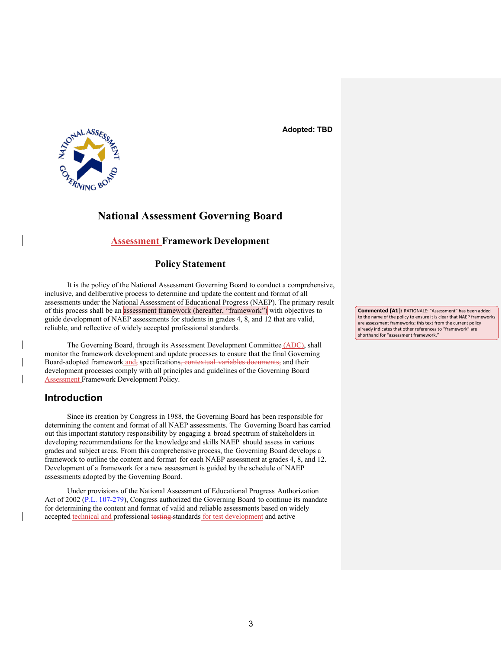**Adopted: TBD**



# **National Assessment Governing Board**

# **Assessment Framework Development**

## **Policy Statement**

It is the policy of the National Assessment Governing Board to conduct a comprehensive, inclusive, and deliberative process to determine and update the content and format of all assessments under the National Assessment of Educational Progress (NAEP). The primary result of this process shall be an assessment framework (hereafter, "framework") with objectives to guide development of NAEP assessments for students in grades 4, 8, and 12 that are valid, reliable, and reflective of widely accepted professional standards.

The Governing Board, through its Assessment Development Committee (ADC), shall monitor the framework development and update processes to ensure that the final Governing Board-adopted framework and, specifications, contextual variables documents, and their development processes comply with all principles and guidelines of the Governing Board Assessment Framework Development Policy.

# **Introduction**

Since its creation by Congress in 1988, the Governing Board has been responsible for determining the content and format of all NAEP assessments. The Governing Board has carried out this important statutory responsibility by engaging a broad spectrum of stakeholders in developing recommendations for the knowledge and skills NAEP should assess in various grades and subject areas. From this comprehensive process, the Governing Board develops a framework to outline the content and format for each NAEP assessment at grades 4, 8, and 12. Development of a framework for a new assessment is guided by the schedule of NAEP assessments adopted by the Governing Board.

Under provisions of the National Assessment of Educational Progress Authorization Act of 2002 [\(P.L. 107-279\)](https://www.nagb.gov/naep/naep-law.html), Congress authorized the Governing Board to continue its mandate for determining the content and format of valid and reliable assessments based on widely accepted technical and professional testing standards for test development and active

**Commented [A1]:** RATIONALE: "Assessment" has been added to the name of the policy to ensure it is clear that NAEP frameworks are assessment frameworks; this text from the current policy already indicates that other references to "framework" are shorthand for "assessment framework."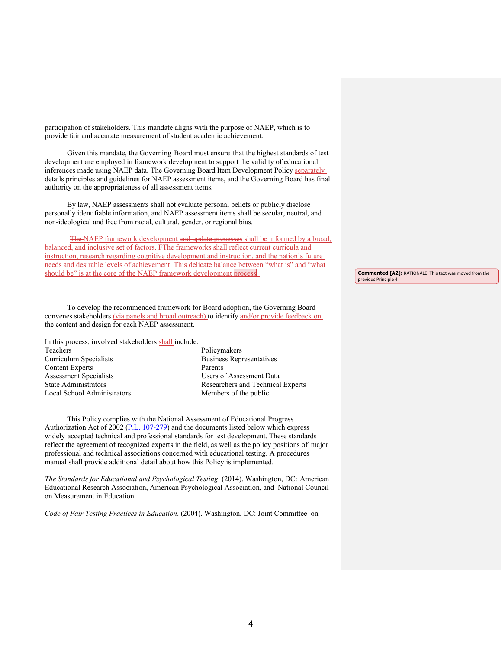participation of stakeholders. This mandate aligns with the purpose of NAEP, which is to provide fair and accurate measurement of student academic achievement.

Given this mandate, the Governing Board must ensure that the highest standards of test development are employed in framework development to support the validity of educational inferences made using NAEP data. The Governing Board Item Development Policy separately details principles and guidelines for NAEP assessment items, and the Governing Board has final authority on the appropriateness of all assessment items.

By law, NAEP assessments shall not evaluate personal beliefs or publicly disclose personally identifiable information, and NAEP assessment items shall be secular, neutral, and non-ideological and free from racial, cultural, gender, or regional bias.

The NAEP framework development and update processes shall be informed by a broad, balanced, and inclusive set of factors. FThe frameworks shall reflect current curricula and instruction, research regarding cognitive development and instruction, and the nation's future needs and desirable levels of achievement. This delicate balance between "what is" and "what should be" is at the core of the NAEP framework development process.

To develop the recommended framework for Board adoption, the Governing Board convenes stakeholders (via panels and broad outreach) to identify and/or provide feedback on the content and design for each NAEP assessment.

In this process, involved stakeholders shall include:

Teachers Curriculum Specialists Content Experts Assessment Specialists State Administrators Local School Administrators

Policymakers Business Representatives Parents Users of Assessment Data Researchers and Technical Experts Members of the public

This Policy complies with the National Assessment of Educational Progress Authorization Act of 2002 [\(P.L. 107-279\)](https://www.nagb.gov/naep/naep-law.html) and the documents listed below which express widely accepted technical and professional standards for test development. These standards reflect the agreement of recognized experts in the field, as well as the policy positions of major professional and technical associations concerned with educational testing. A procedures manual shall provide additional detail about how this Policy is implemented.

*The Standards for Educational and Psychological Testing*. (2014). Washington, DC: American Educational Research Association, American Psychological Association, and National Council on Measurement in Education.

*Code of Fair Testing Practices in Education*. (2004). Washington, DC: Joint Committee on

**Commented [A2]:** RATIONALE: This text was moved from the previous Principle 4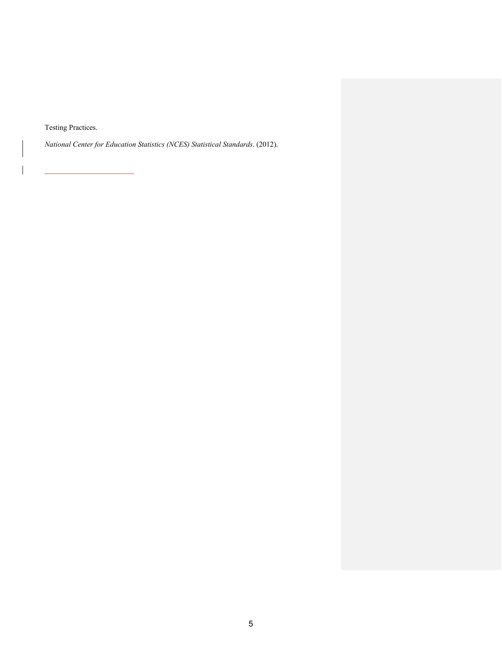Testing Practices.

 $\overline{\phantom{a}}$ 

*National Center for Education Statistics (NCES) Statistical Standards*. (2012).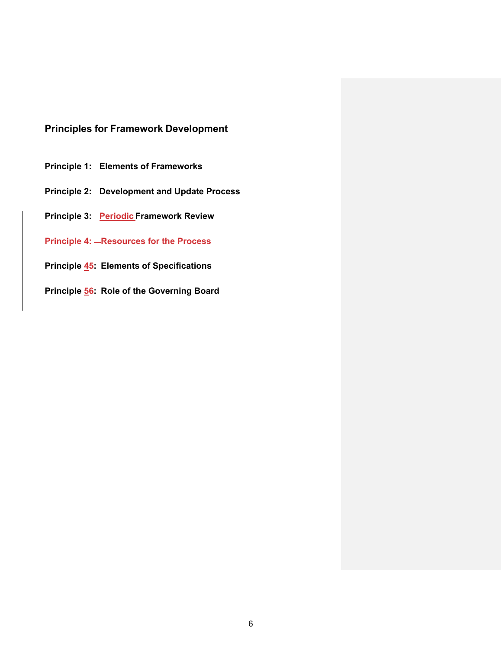# **Principles for Framework Development**

- **Principle 1: [Elements of Frameworks](#page-6-0)**
- **Principle 2: [Development and Update Process](#page-7-0)**
- **Principle 3: Periodic [Framework Review](#page-10-0)**
- **Principle 4: Resources for the Process**
- **[Principle 45: Elements of Specifications](#page-11-0)**
- **[Principle 56: Role of the Governing Board](#page-12-0)**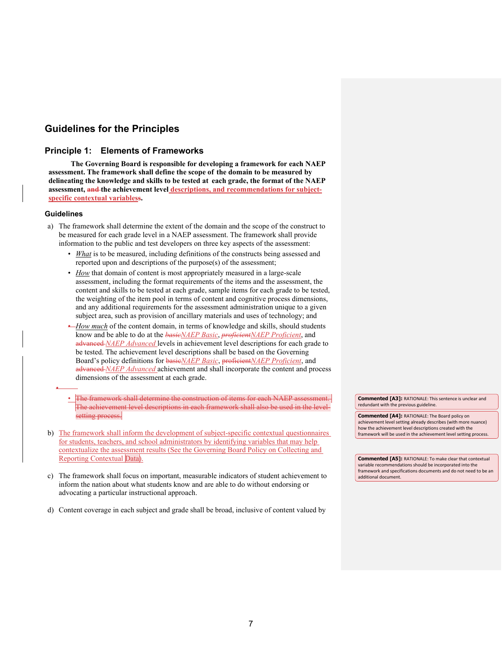# <span id="page-6-0"></span>**Guidelines for the Principles**

## **Principle 1: Elements of Frameworks**

**The Governing Board is responsible for developing a framework for each NAEP assessment. The framework shall define the scope of the domain to be measured by delineating the knowledge and skills to be tested at each grade, the format of the NAEP assessment, and the achievement level descriptions, and recommendations for subjectspecific contextual variabless.**

### **Guidelines**

•

- a) The framework shall determine the extent of the domain and the scope of the construct to be measured for each grade level in a NAEP assessment. The framework shall provide information to the public and test developers on three key aspects of the assessment:
	- *What* is to be measured, including definitions of the constructs being assessed and reported upon and descriptions of the purpose(s) of the assessment;
	- *How* that domain of content is most appropriately measured in a large-scale assessment, including the format requirements of the items and the assessment, the content and skills to be tested at each grade, sample items for each grade to be tested, the weighting of the item pool in terms of content and cognitive process dimensions, and any additional requirements for the assessment administration unique to a given subject area, such as provision of ancillary materials and uses of technology; and
	- *How much* of the content domain, in terms of knowledge and skills, should students know and be able to do at the *basieNAEP Basic*, *proficientNAEP Proficient*, and advanced *NAEP Advanced* levels in achievement level descriptions for each grade to be tested. The achievement level descriptions shall be based on the Governing Board's policy definitions for basic*NAEP Basic*, proficient*NAEP Proficient*, and advanced *NAEP Advanced* achievement and shall incorporate the content and process dimensions of the assessment at each grade.
	- The framework shall determine the construction of items for each NAEP assessment. The achievement level descriptions in each framework shall also be used in the levelsetting process.
- b) The framework shall inform the development of subject-specific contextual questionnaires for students, teachers, and school administrators by identifying variables that may help contextualize the assessment results (See the Governing Board Policy on Collecting and Reporting Contextual Data).
- c) The framework shall focus on important, measurable indicators of student achievement to inform the nation about what students know and are able to do without endorsing or advocating a particular instructional approach.
- d) Content coverage in each subject and grade shall be broad, inclusive of content valued by

**Commented [A3]:** RATIONALE: This sentence is unclear and redundant with the previous guideline.

**Commented [A4]:** RATIONALE: The Board policy on achievement level setting already describes (with more nuance) how the achievement level descriptions created with the framework will be used in the achievement level setting process.

**Commented [A5]:** RATIONALE: To make clear that contextual variable recommendations should be incorporated into the framework and specifications documents and do not need to be an additional document.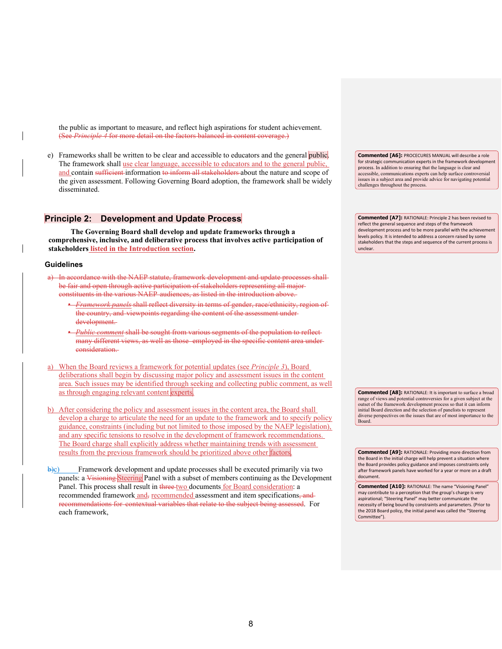the public as important to measure, and reflect high aspirations for student achievement. (See *Principle 4* for more detail on the factors balanced in content coverage.)

e) Frameworks shall be written to be clear and accessible to educators and the general public. The framework shall use clear language, accessible to educators and to the general public, and contain sufficient information to inform all stakeholders about the nature and scope of the given assessment. Following Governing Board adoption, the framework shall be widely disseminated.

## <span id="page-7-0"></span>**Principle 2: Development and Update Process**

**The Governing Board shall develop and update frameworks through a comprehensive, inclusive, and deliberative process that involves active participation of stakeholders listed in the Introduction section.**

#### **Guidelines**

- In accordance with the NAEP statute, framework development and update processes shall be fair and open through active participation of stakeholders representing all major constituents in the various NAEP audiences, as listed in the introduction above.
	- *Framework panels* shall reflect diversity in terms of gender, race/ethnicity, region of the country, and viewpoints regarding the content of the assessment under development.
	- *Public comment* shall be sought from various segments of the population to reflect many different views, as well as those employed in the specific content area under consideration.
- a) When the Board reviews a framework for potential updates (see *Principle 3*), Board deliberations shall begin by discussing major policy and assessment issues in the content area. Such issues may be identified through seeking and collecting public comment, as well as through engaging relevant content experts.
- b) After considering the policy and assessment issues in the content area, the Board shall develop a charge to articulate the need for an update to the framework and to specify policy guidance, constraints (including but not limited to those imposed by the NAEP legislation), and any specific tensions to resolve in the development of framework recommendations. The Board charge shall explicitly address whether maintaining trends with assessment results from the previous framework should be prioritized above other factors.
- $\dot{\theta}$ ) Framework development and update processes shall be executed primarily via two panels: a Visioning Steering Panel with a subset of members continuing as the Development Panel. This process shall result in three two documents for Board consideration: a recommended framework and, recommended assessment and item specifications, and recommendations for contextual variables that relate to the subject being assessed. For each framework,

**Commented [A6]:** PROCECURES MANUAL will describe a role for strategic communication experts in the framework development process. In addition to ensuring that the language is clear and accessible, communications experts can help surface controversial issues in a subject area and provide advice for navigating potential challenges throughout the process.

**Commented [A7]:** RATIONALE: Principle 2 has been revised to reflect the general sequence and steps of the framework development process and to be more parallel with the achievement levels policy. It is intended to address a concern raised by some stakeholders that the steps and sequence of the current process is unclear.

**Commented [A8]:** RATIONALE: It is important to surface a broad range of views and potential controversies for a given subject at the outset of the framework development process so that it can inform initial Board direction and the selection of panelists to represent diverse perspectives on the issues that are of most importance to the Board.

**Commented [A9]:** RATIONALE: Providing more direction from the Board in the initial charge will help prevent a situation where the Board provides policy guidance and imposes constraints only after framework panels have worked for a year or more on a draft document.

**Commented [A10]:** RATIONALE: The name "Visioning Panel" may contribute to a perception that the group's charge is very aspirational; "Steering Panel" may better communicate the necessity of being bound by constraints and parameters. (Prior to the 2018 Board policy, the initial panel was called the "Steering Committee").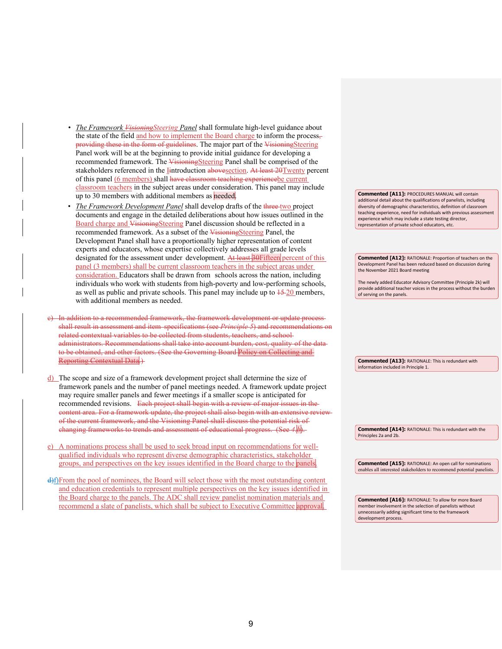- *The Framework VisioningSteering Panel* shall formulate high-level guidance about the state of the field and how to implement the Board charge to inform the process, providing these in the form of guidelines. The major part of the VisioningSteering Panel work will be at the beginning to provide initial guidance for developing a recommended framework. The VisioningSteering Panel shall be comprised of the stakeholders referenced in the *Iintroduction* abovesection. At least 20Twenty percent of this panel (6 members) shall have classroom teaching experiencebe current classroom teachers in the subject areas under consideration. This panel may include up to 30 members with additional members as needed.
- The Framework Development Panel shall develop drafts of the three two project documents and engage in the detailed deliberations about how issues outlined in the Board charge and VisioningSteering Panel discussion should be reflected in a recommended framework. As a subset of the VisioningSteering Panel, the Development Panel shall have a proportionally higher representation of content experts and educators, whose expertise collectively addresses all grade levels designated for the assessment under development. At least 30Fifteen percent of this panel (3 members) shall be current classroom teachers in the subject areas under consideration. Educators shall be drawn from schools across the nation, including individuals who work with students from high-poverty and low-performing schools, as well as public and private schools. This panel may include up to  $\frac{15-20}{2}$  members, with additional members as needed.
- c) In addition to a recommended framework, the framework development or update process shall result in assessment and item specifications (see *Principle 5*) and recommendations on related contextual variables to be collected from students, teachers, and school administrators. Recommendations shall take into account burden, cost, quality of the data to be obtained, and other factors. (See the Governing Board Policy on Collecting and Reporting Contextual Data.)
- d) The scope and size of a framework development project shall determine the size of framework panels and the number of panel meetings needed. A framework update project may require smaller panels and fewer meetings if a smaller scope is anticipated for recommended revisions. Each project shall begin with a review of major issues in the content area. For a framework update, the project shall also begin with an extensive review of the current framework, and the Visioning Panel shall discuss the potential risk of changing frameworks to trends and assessment of educational progress. (See *4.b*).
- e) A nominations process shall be used to seek broad input on recommendations for wellqualified individuals who represent diverse demographic characteristics, stakeholder groups, and perspectives on the key issues identified in the Board charge to the panels
- d)f)From the pool of nominees, the Board will select those with the most outstanding content and education credentials to represent multiple perspectives on the key issues identified in the Board charge to the panels. The ADC shall review panelist nomination materials and recommend a slate of panelists, which shall be subject to Executive Committee approval.

**Commented [A11]:** PROCEDURES MANUAL will contain additional detail about the qualifications of panelists, including diversity of demographic characteristics, definition of classroom teaching experience, need for individuals with previous assessment experience which may include a state testing director, representation of private school educators, etc.

**Commented [A12]:** RATIONALE: Proportion of teachers on the Development Panel has been reduced based on discussion during the November 2021 Board meeting

The newly added Educator Advisory Committee (Principle 2k) will provide additional teacher voices in the process without the burden of serving on the panels.

**Commented [A13]:** RATIONALE: This is redundant with information included in Principle 1.

**Commented [A14]:** RATIONALE: This is redundant with the Principles 2a and 2b.

**Commented [A15]:** RATIONALE: An open call for nominations enables all interested stakeholders to recommend potential panelists.

**Commented [A16]:** RATIONALE: To allow for more Board member involvement in the selection of panelists without unnecessarily adding significant time to the framework development process.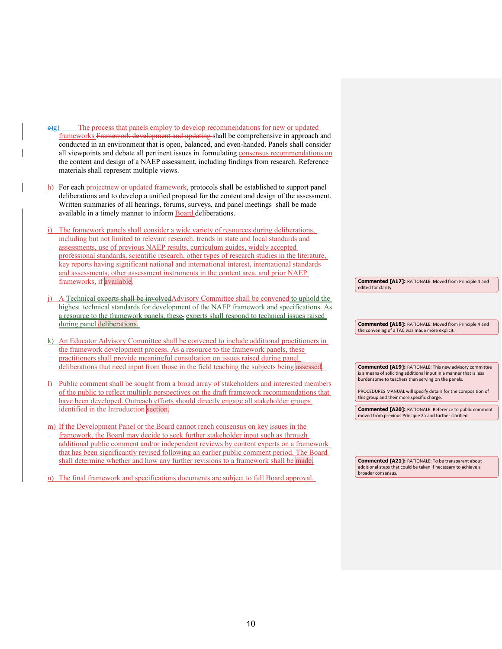- $\dot{\mathbf{e}}$ e) The process that panels employ to develop recommendations for new or updated frameworks Framework development and updating shall be comprehensive in approach and conducted in an environment that is open, balanced, and even-handed. Panels shall consider all viewpoints and debate all pertinent issues in formulating consensus recommendations on the content and design of a NAEP assessment, including findings from research. Reference materials shall represent multiple views.
- h) For each projectnew or updated framework, protocols shall be established to support panel deliberations and to develop a unified proposal for the content and design of the assessment. Written summaries of all hearings, forums, surveys, and panel meetings shall be made available in a timely manner to inform Board deliberations.
- i) The framework panels shall consider a wide variety of resources during deliberations, including but not limited to relevant research, trends in state and local standards and assessments, use of previous NAEP results, curriculum guides, widely accepted professional standards, scientific research, other types of research studies in the literature, key reports having significant national and international interest, international standards and assessments, other assessment instruments in the content area, and prior NAEP frameworks, if available.
- A Technical experts shall be involvedAdvisory Committee shall be convened to uphold the highest technical standards for development of the NAEP framework and specifications. As a resource to the framework panels, these experts shall respond to technical issues raised during panel deliberations.
- k) An Educator Advisory Committee shall be convened to include additional practitioners in the framework development process. As a resource to the framework panels, these practitioners shall provide meaningful consultation on issues raised during panel deliberations that need input from those in the field teaching the subjects being assessed
- l) Public comment shall be sought from a broad array of stakeholders and interested members of the public to reflect multiple perspectives on the draft framework recommendations that have been developed. Outreach efforts should directly engage all stakeholder groups identified in the Introduction section.
- m) If the Development Panel or the Board cannot reach consensus on key issues in the framework, the Board may decide to seek further stakeholder input such as through additional public comment and/or independent reviews by content experts on a framework that has been significantly revised following an earlier public comment period. The Board shall determine whether and how any further revisions to a framework shall be made

n) The final framework and specifications documents are subject to full Board approval.

**Commented [A17]:** RATIONALE: Moved from Principle 4 and edited for clarity.

**Commented [A18]:** RATIONALE: Moved from Principle 4 and the convening of a TAC was made more explicit.

**Commented [A19]:** RATIONALE: This new advisory committee is a means of soliciting additional input in a manner that is less burdensome to teachers than serving on the panels.

PROCEDURES MANUAL will specify details for the composition of this group and their more specific charge.

**Commented [A20]:** RATIONALE: Reference to public comment moved from previous Principle 2a and further clarified.

**Commented [A21]:** RATIONALE: To be transparent about additional steps that could be taken if necessary to achieve a broader consensus.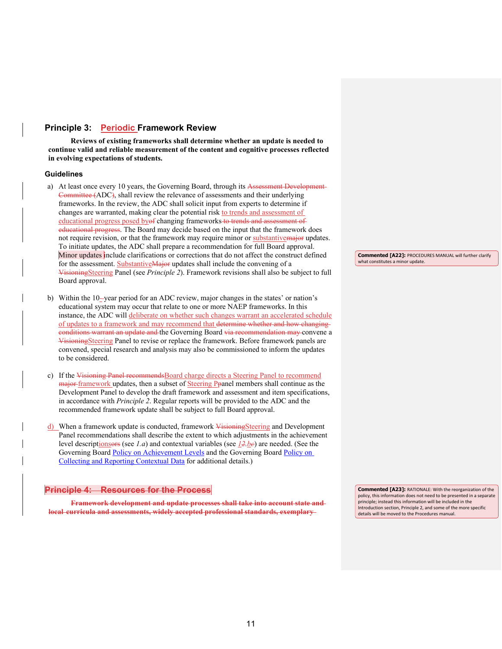## <span id="page-10-0"></span>**Principle 3: Periodic Framework Review**

**Reviews of existing frameworks shall determine whether an update is needed to continue valid and reliable measurement of the content and cognitive processes reflected in evolving expectations of students.** 

### **Guidelines**

- a) At least once every 10 years, the Governing Board, through its Assessment Development Committee (ADC), shall review the relevance of assessments and their underlying frameworks. In the review, the ADC shall solicit input from experts to determine if changes are warranted, making clear the potential risk to trends and assessment of educational progress posed byof changing frameworks to trends and assessment of educational progress. The Board may decide based on the input that the framework does not require revision, or that the framework may require minor or substantive major updates. To initiate updates, the ADC shall prepare a recommendation for full Board approval. Minor updates include clarifications or corrections that do not affect the construct defined for the assessment. Substantive Major updates shall include the convening of a VisioningSteering Panel (see *Principle 2*). Framework revisions shall also be subject to full Board approval.
- b) Within the 10-year period for an ADC review, major changes in the states' or nation's educational system may occur that relate to one or more NAEP frameworks. In this instance, the ADC will deliberate on whether such changes warrant an accelerated schedule of updates to a framework and may recommend that determine whether and how changing eonditions warrant an update and the Governing Board via recommendation may convene a VisioningSteering Panel to revise or replace the framework. Before framework panels are convened, special research and analysis may also be commissioned to inform the updates to be considered.
- c) If the Visioning Panel recommends Board charge directs a Steering Panel to recommend major framework updates, then a subset of Steering Ppanel members shall continue as the Development Panel to develop the draft framework and assessment and item specifications, in accordance with *Principle 2*. Regular reports will be provided to the ADC and the recommended framework update shall be subject to full Board approval.
- d) When a framework update is conducted, framework VisioningSteering and Development Panel recommendations shall describe the extent to which adjustments in the achievement level descriptionsors (see *1.a*) and contextual variables (see *12.bc*) are needed. (See the Governing Board [Policy on Achievement Levels](https://www.nagb.org/content/nagb/assets/documents/policies/developing-student-performance.pdf) and the Governing Board Policy on [Collecting and Reporting Contextual Data](https://www.nagb.org/content/nagb/assets/documents/policies/collection-report-backg-data.pdf) for additional details.)

### **Principle 4: Resources for the Process**

**Framework development and update processes shall take into account state and local curricula and assessments, widely accepted professional standards, exemplary**

**Commented [A22]:** PROCEDURES MANUAL will further clarify what constitutes a minor update

**Commented [A23]:** RATIONALE: With the reorganization of the policy, this information does not need to be presented in a separate principle; instead this information will be included in the Introduction section, Principle 2, and some of the more specific details will be moved to the Procedures manual.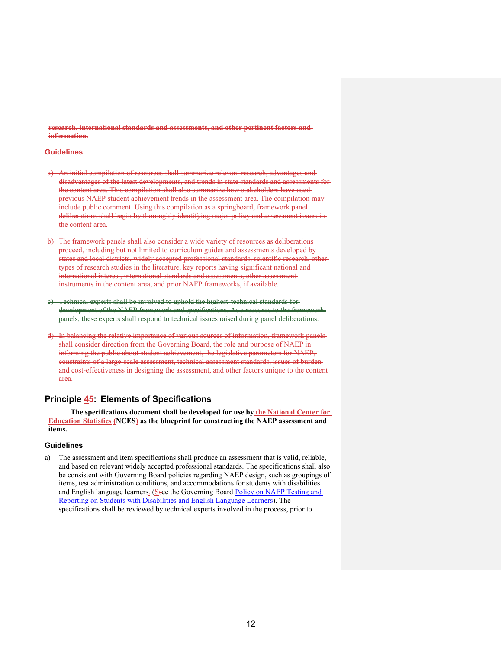**research, international standards and assessments, and other pertinent factors and information.**

#### **Guidelines**

- a) An initial compilation of resources shall summarize relevant research, advantages and disadvantages of the latest developments, and trends in state standards and assessments for the content area. This compilation shall also summarize how stakeholders have used previous NAEP student achievement trends in the assessment area. The compilation may include public comment. Using this compilation as a springboard, framework panel deliberations shall begin by thoroughly identifying major policy and assessment issues in the content area.
- b) The framework panels shall also consider a wide variety of resources as deliberations proceed, including but not limited to curriculum guides and assessments developed by states and local districts, widely accepted professional standards, scientific research, other types of research studies in the literature, key reports having significant national and international interest, international standards and assessments, other assessment instruments in the content area, and prior NAEP frameworks, if available.
- Technical experts shall be involved to uphold the highest technical standards for development of the NAEP framework and specifications. As a resource to the framework panels, these experts shall respond to technical issues raised during panel deliberations.
- d) In balancing the relative importance of various sources of information, framework panels shall consider direction from the Governing Board, the role and purpose of NAEP in informing the public about student achievement, the legislative parameters for NAEP, constraints of a large-scale assessment, technical assessment standards, issues of burden and cost-effectiveness in designing the assessment, and other factors unique to the content area.

## <span id="page-11-0"></span>**Principle 45: Elements of Specifications**

**The specifications document shall be developed for use by the National Center for Education Statistics (NCES) as the blueprint for constructing the NAEP assessment and items.**

### **Guidelines**

a) The assessment and item specifications shall produce an assessment that is valid, reliable, and based on relevant widely accepted professional standards. The specifications shall also be consistent with Governing Board policies regarding NAEP design, such as groupings of items, test administration conditions, and accommodations for students with disabilities and English language learners. (Ssee the Governing Board Policy on NAEP Testing and [Reporting on Students with Disabilities and English Language Learners\)](https://www.nagb.org/content/nagb/assets/documents/policies/naep_testandreport_studentswithdisabilities.pdf). The specifications shall be reviewed by technical experts involved in the process, prior to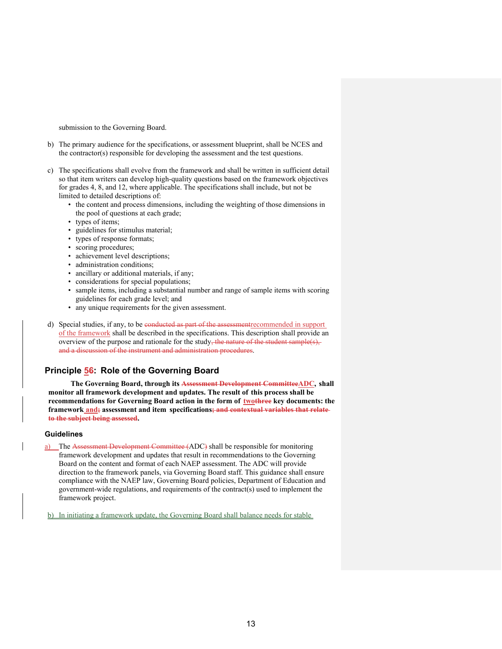submission to the Governing Board.

- b) The primary audience for the specifications, or assessment blueprint, shall be NCES and the contractor(s) responsible for developing the assessment and the test questions.
- c) The specifications shall evolve from the framework and shall be written in sufficient detail so that item writers can develop high-quality questions based on the framework objectives for grades 4, 8, and 12, where applicable. The specifications shall include, but not be limited to detailed descriptions of:
	- the content and process dimensions, including the weighting of those dimensions in the pool of questions at each grade;
	- types of items;
	- guidelines for stimulus material;
	- types of response formats;
	- scoring procedures;
	- achievement level descriptions;
	- administration conditions;
	- ancillary or additional materials, if any;
	- considerations for special populations;
	- sample items, including a substantial number and range of sample items with scoring guidelines for each grade level; and
	- any unique requirements for the given assessment.
- d) Special studies, if any, to be conducted as part of the assessmentrecommended in support of the framework shall be described in the specifications. This description shall provide an overview of the purpose and rationale for the study, the nature of the student sample(s), and a discussion of the instrument and administration procedures.

## <span id="page-12-0"></span>**Principle 56: Role of the Governing Board**

**The Governing Board, through its Assessment Development CommitteeADC, shall monitor all framework development and updates. The result of this process shall be recommendations for Governing Board action in the form of twothree key documents: the framework and; assessment and item specifications; and contextual variables that relate to the subject being assessed.** 

#### **Guidelines**

a) The Assessment Development Committee (ADC) shall be responsible for monitoring framework development and updates that result in recommendations to the Governing Board on the content and format of each NAEP assessment. The ADC will provide direction to the framework panels, via Governing Board staff. This guidance shall ensure compliance with the NAEP law, Governing Board policies, Department of Education and government-wide regulations, and requirements of the contract(s) used to implement the framework project.

b) In initiating a framework update, the Governing Board shall balance needs for stable